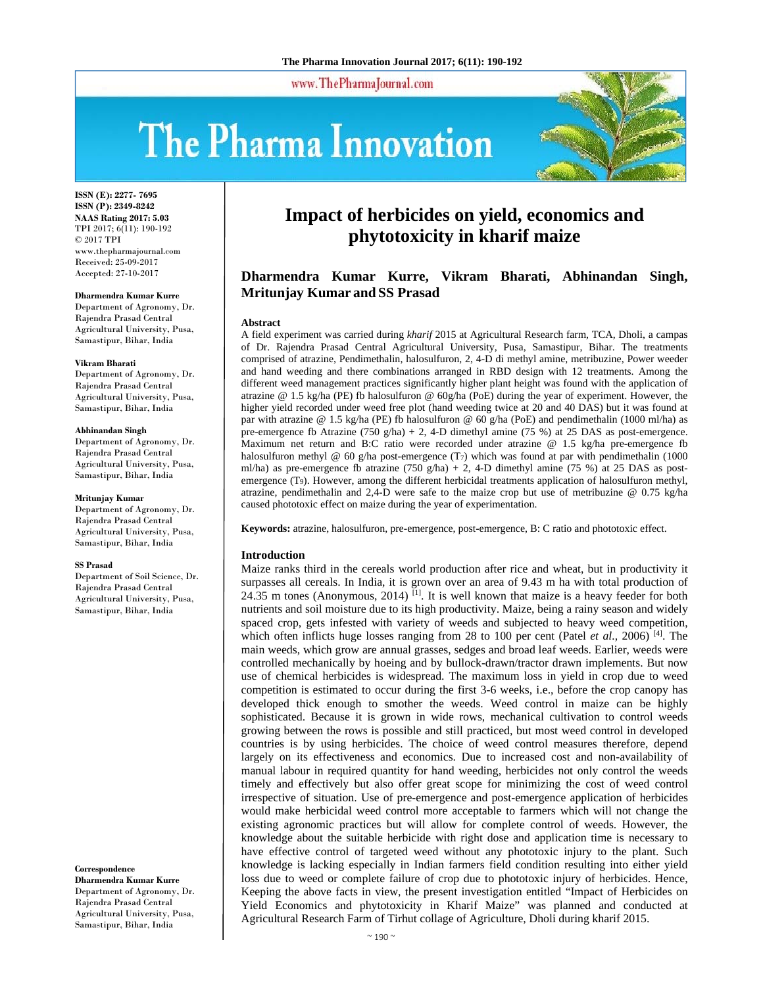www.ThePharmaJournal.com

# The Pharma Innovation



**ISSN (E): 2277- 7695 ISSN (P): 2349-8242 NAAS Rating 2017: 5.03** TPI 2017; 6(11): 190-192 © 2017 TPI www.thepharmajournal.com Received: 25-09-2017 Accepted: 27-10-2017

#### **Dharmendra Kumar Kurre**

Department of Agronomy, Dr. Rajendra Prasad Central Agricultural University, Pusa, Samastipur, Bihar, India

#### **Vikram Bharati**

Department of Agronomy, Dr. Rajendra Prasad Central Agricultural University, Pusa, Samastipur, Bihar, India

#### **Abhinandan Singh**

Department of Agronomy, Dr. Rajendra Prasad Central Agricultural University, Pusa, Samastipur, Bihar, India

#### **Mritunjay Kumar**

Department of Agronomy, Dr. Rajendra Prasad Central Agricultural University, Pusa, Samastipur, Bihar, India

#### **SS Prasad**

Department of Soil Science, Dr. Rajendra Prasad Central Agricultural University, Pusa, Samastipur, Bihar, India

**Correspondence** 

**Dharmendra Kumar Kurre**  Department of Agronomy, Dr. Rajendra Prasad Central Agricultural University, Pusa, Samastipur, Bihar, India

## **Impact of herbicides on yield, economics and phytotoxicity in kharif maize**

## **Dharmendra Kumar Kurre, Vikram Bharati, Abhinandan Singh, Mritunjay Kumar and SS Prasad**

#### **Abstract**

A field experiment was carried during *kharif* 2015 at Agricultural Research farm, TCA, Dholi, a campas of Dr. Rajendra Prasad Central Agricultural University, Pusa, Samastipur, Bihar. The treatments comprised of atrazine, Pendimethalin, halosulfuron, 2, 4-D di methyl amine, metribuzine, Power weeder and hand weeding and there combinations arranged in RBD design with 12 treatments. Among the different weed management practices significantly higher plant height was found with the application of atrazine @ 1.5 kg/ha (PE) fb halosulfuron @ 60g/ha (PoE) during the year of experiment. However, the higher yield recorded under weed free plot (hand weeding twice at 20 and 40 DAS) but it was found at par with atrazine @ 1.5 kg/ha (PE) fb halosulfuron @ 60 g/ha (PoE) and pendimethalin (1000 ml/ha) as pre-emergence fb Atrazine (750 g/ha) + 2, 4-D dimethyl amine (75 %) at 25 DAS as post-emergence. Maximum net return and B:C ratio were recorded under atrazine @ 1.5 kg/ha pre-emergence fb halosulfuron methyl @ 60 g/ha post-emergence  $(T_7)$  which was found at par with pendimethalin (1000) ml/ha) as pre-emergence fb atrazine  $(750 \text{ g/ha}) + 2$ , 4-D dimethyl amine  $(75 \text{ %})$  at 25 DAS as postemergence (T9). However, among the different herbicidal treatments application of halosulfuron methyl, atrazine, pendimethalin and 2,4-D were safe to the maize crop but use of metribuzine @ 0.75 kg/ha caused phototoxic effect on maize during the year of experimentation.

**Keywords:** atrazine, halosulfuron, pre-emergence, post-emergence, B: C ratio and phototoxic effect.

#### **Introduction**

Maize ranks third in the cereals world production after rice and wheat, but in productivity it surpasses all cereals. In India, it is grown over an area of 9.43 m ha with total production of 24.35 m tones (Anonymous, 2014)  $^{[1]}$ . It is well known that maize is a heavy feeder for both nutrients and soil moisture due to its high productivity. Maize, being a rainy season and widely spaced crop, gets infested with variety of weeds and subjected to heavy weed competition, which often inflicts huge losses ranging from 28 to 100 per cent (Patel *et al.*, 2006)<sup>[4]</sup>. The main weeds, which grow are annual grasses, sedges and broad leaf weeds. Earlier, weeds were controlled mechanically by hoeing and by bullock-drawn/tractor drawn implements. But now use of chemical herbicides is widespread. The maximum loss in yield in crop due to weed competition is estimated to occur during the first 3-6 weeks, i.e., before the crop canopy has developed thick enough to smother the weeds. Weed control in maize can be highly sophisticated. Because it is grown in wide rows, mechanical cultivation to control weeds growing between the rows is possible and still practiced, but most weed control in developed countries is by using herbicides. The choice of weed control measures therefore, depend largely on its effectiveness and economics. Due to increased cost and non-availability of manual labour in required quantity for hand weeding, herbicides not only control the weeds timely and effectively but also offer great scope for minimizing the cost of weed control irrespective of situation. Use of pre-emergence and post-emergence application of herbicides would make herbicidal weed control more acceptable to farmers which will not change the existing agronomic practices but will allow for complete control of weeds. However, the knowledge about the suitable herbicide with right dose and application time is necessary to have effective control of targeted weed without any phototoxic injury to the plant. Such knowledge is lacking especially in Indian farmers field condition resulting into either yield loss due to weed or complete failure of crop due to phototoxic injury of herbicides. Hence, Keeping the above facts in view, the present investigation entitled "Impact of Herbicides on Yield Economics and phytotoxicity in Kharif Maize" was planned and conducted at Agricultural Research Farm of Tirhut collage of Agriculture, Dholi during kharif 2015.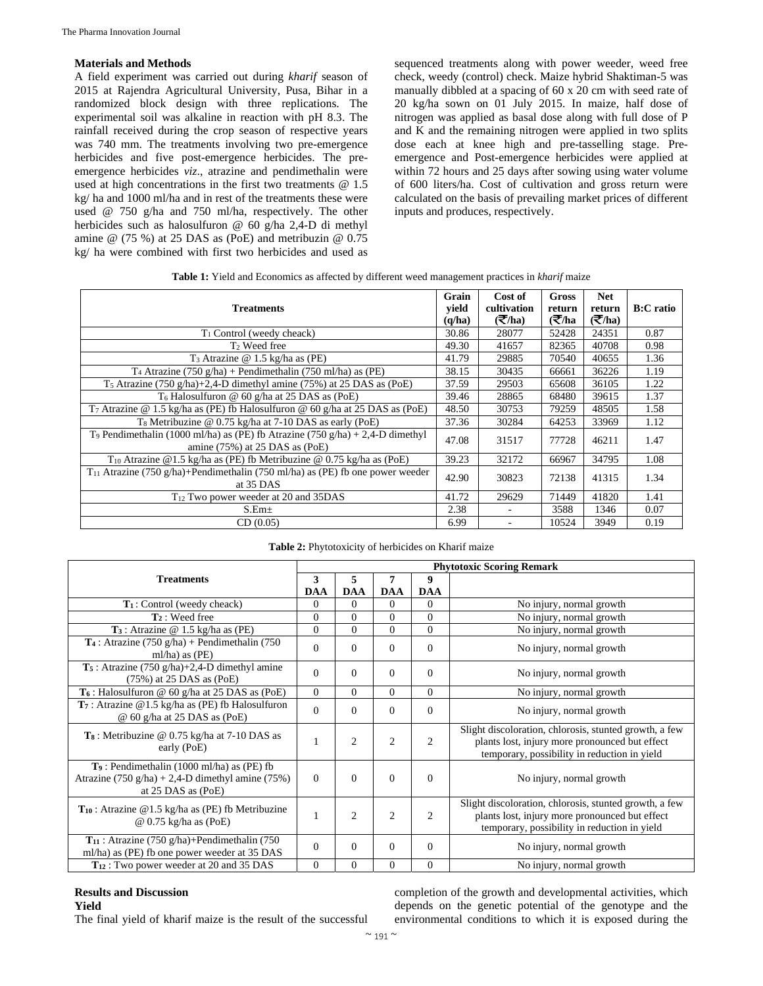## **Materials and Methods**

A field experiment was carried out during *kharif* season of 2015 at Rajendra Agricultural University, Pusa, Bihar in a randomized block design with three replications. The experimental soil was alkaline in reaction with pH 8.3. The rainfall received during the crop season of respective years was 740 mm. The treatments involving two pre-emergence herbicides and five post-emergence herbicides. The preemergence herbicides *viz*., atrazine and pendimethalin were used at high concentrations in the first two treatments @ 1.5 kg/ ha and 1000 ml/ha and in rest of the treatments these were used @ 750 g/ha and 750 ml/ha, respectively. The other herbicides such as halosulfuron @ 60 g/ha 2,4-D di methyl amine @ (75 %) at 25 DAS as (PoE) and metribuzin @ 0.75 kg/ ha were combined with first two herbicides and used as

sequenced treatments along with power weeder, weed free check, weedy (control) check. Maize hybrid Shaktiman-5 was manually dibbled at a spacing of 60 x 20 cm with seed rate of 20 kg/ha sown on 01 July 2015. In maize, half dose of nitrogen was applied as basal dose along with full dose of P and K and the remaining nitrogen were applied in two splits dose each at knee high and pre-tasselling stage. Preemergence and Post-emergence herbicides were applied at within 72 hours and 25 days after sowing using water volume of 600 liters/ha. Cost of cultivation and gross return were calculated on the basis of prevailing market prices of different inputs and produces, respectively.

| Table 1: Yield and Economics as affected by different weed management practices in kharif maize |  |  |
|-------------------------------------------------------------------------------------------------|--|--|
|                                                                                                 |  |  |

| <b>Treatments</b>                                                                                                               |  | Cost of<br>cultivation<br>$\left(\frac{1}{2}\right)$ | <b>Gross</b><br>return<br>(₹/ha | <b>Net</b><br>return<br>$\overline{\left(\overline{\mathbf{\mathcal{F}}}/\mathbf{ha}\right)}$ | <b>B:C</b> ratio |
|---------------------------------------------------------------------------------------------------------------------------------|--|------------------------------------------------------|---------------------------------|-----------------------------------------------------------------------------------------------|------------------|
| $T_1$ Control (weedy cheack)                                                                                                    |  | 28077                                                | 52428                           | 24351                                                                                         | 0.87             |
| T <sub>2</sub> Weed free                                                                                                        |  | 41657                                                | 82365                           | 40708                                                                                         | 0.98             |
| $T_3$ Atrazine @ 1.5 kg/ha as (PE)                                                                                              |  | 29885                                                | 70540                           | 40655                                                                                         | 1.36             |
| T <sub>4</sub> Atrazine (750 g/ha) + Pendimethalin (750 ml/ha) as (PE)                                                          |  | 30435                                                | 66661                           | 36226                                                                                         | 1.19             |
| $T_5$ Atrazine (750 g/ha)+2,4-D dimethyl amine (75%) at 25 DAS as (PoE)                                                         |  | 29503                                                | 65608                           | 36105                                                                                         | 1.22             |
| $T_6$ Halosulfuron @ 60 g/ha at 25 DAS as (PoE)                                                                                 |  | 28865                                                | 68480                           | 39615                                                                                         | 1.37             |
| $T_7$ Atrazine @ 1.5 kg/ha as (PE) fb Halosulfuron @ 60 g/ha at 25 DAS as (PoE)                                                 |  | 30753                                                | 79259                           | 48505                                                                                         | 1.58             |
| T <sub>8</sub> Metribuzine @ 0.75 kg/ha at 7-10 DAS as early (PoE)                                                              |  | 30284                                                | 64253                           | 33969                                                                                         | 1.12             |
| T <sub>9</sub> Pendimethalin (1000 ml/ha) as (PE) fb Atrazine (750 g/ha) + 2,4-D dimethyl<br>amine $(75%)$ at 25 DAS as $(PoE)$ |  | 31517                                                | 77728                           | 46211                                                                                         | 1.47             |
| $T_{10}$ Atrazine @1.5 kg/ha as (PE) fb Metribuzine @ 0.75 kg/ha as (PoE)                                                       |  | 32172                                                | 66967                           | 34795                                                                                         | 1.08             |
| $T_{11}$ Atrazine (750 g/ha)+Pendimethalin (750 ml/ha) as (PE) fb one power weeder<br>at 35 DAS                                 |  | 30823                                                | 72138                           | 41315                                                                                         | 1.34             |
| T <sub>12</sub> Two power weeder at 20 and 35DAS                                                                                |  | 29629                                                | 71449                           | 41820                                                                                         | 1.41             |
| $S.Em\pm$                                                                                                                       |  |                                                      | 3588                            | 1346                                                                                          | 0.07             |
| CD(0.05)                                                                                                                        |  |                                                      | 10524                           | 3949                                                                                          | 0.19             |

|                                                                                                                                                    | <b>Phytotoxic Scoring Remark</b> |                |                |                |                                                                                                                                                          |  |  |  |
|----------------------------------------------------------------------------------------------------------------------------------------------------|----------------------------------|----------------|----------------|----------------|----------------------------------------------------------------------------------------------------------------------------------------------------------|--|--|--|
| <b>Treatments</b>                                                                                                                                  | 3                                | 5              | 7              | 9              |                                                                                                                                                          |  |  |  |
|                                                                                                                                                    | <b>DAA</b>                       | <b>DAA</b>     | <b>DAA</b>     | <b>DAA</b>     |                                                                                                                                                          |  |  |  |
| T <sub>1</sub> : Control (weedy cheack)                                                                                                            | $\Omega$                         | $\Omega$       | $\Omega$       | $\Omega$       | No injury, normal growth                                                                                                                                 |  |  |  |
| $T_2$ : Weed free                                                                                                                                  | $\mathbf{0}$                     | $\Omega$       | $\Omega$       | $\overline{0}$ | No injury, normal growth                                                                                                                                 |  |  |  |
| $T_3$ : Atrazine @ 1.5 kg/ha as (PE)                                                                                                               | $\Omega$                         | $\Omega$       | $\Omega$       | $\overline{0}$ | No injury, normal growth                                                                                                                                 |  |  |  |
| $T_4$ : Atrazine (750 g/ha) + Pendimethalin (750<br>ml/ha) as $(PE)$                                                                               | $\Omega$                         | $\Omega$       | $\Omega$       | $\Omega$       | No injury, normal growth                                                                                                                                 |  |  |  |
| $T_5$ : Atrazine (750 g/ha)+2,4-D dimethyl amine<br>$(75%)$ at 25 DAS as (PoE)                                                                     | $\Omega$                         | $\Omega$       | $\theta$       | $\Omega$       | No injury, normal growth                                                                                                                                 |  |  |  |
| $T_6$ : Halosulfuron @ 60 g/ha at 25 DAS as (PoE)                                                                                                  | $\theta$                         | $\Omega$       | $\Omega$       | $\Omega$       | No injury, normal growth                                                                                                                                 |  |  |  |
| $T_7$ : Atrazine @1.5 kg/ha as (PE) fb Halosulfuron<br>@ 60 g/ha at 25 DAS as (PoE)                                                                | $\Omega$                         | $\Omega$       | $\Omega$       | $\Omega$       | No injury, normal growth                                                                                                                                 |  |  |  |
| $T_8$ : Metribuzine @ 0.75 kg/ha at 7-10 DAS as<br>early (PoE)                                                                                     | 1                                | $\overline{2}$ | $\overline{2}$ | $\overline{c}$ | Slight discoloration, chlorosis, stunted growth, a few<br>plants lost, injury more pronounced but effect<br>temporary, possibility in reduction in yield |  |  |  |
| T <sub>9</sub> : Pendimethalin (1000 ml/ha) as (PE) fb<br>Atrazine $(750 \text{ g/ha}) + 2,4$ -D dimethyl amine $(75\%)$<br>at $25$ DAS as $(PoE)$ | $\Omega$                         | $\Omega$       | $\Omega$       | $\Omega$       | No injury, normal growth                                                                                                                                 |  |  |  |
| $T_{10}$ : Atrazine @1.5 kg/ha as (PE) fb Metribuzine<br>@ 0.75 kg/ha as (PoE)                                                                     | 1                                | $\overline{c}$ | $\overline{2}$ | $\overline{c}$ | Slight discoloration, chlorosis, stunted growth, a few<br>plants lost, injury more pronounced but effect<br>temporary, possibility in reduction in yield |  |  |  |
| $T_{11}$ : Atrazine (750 g/ha)+Pendimethalin (750<br>ml/ha) as (PE) fb one power weeder at 35 DAS                                                  | $\Omega$                         | $\mathbf{0}$   | $\Omega$       | $\Omega$       | No injury, normal growth                                                                                                                                 |  |  |  |
| T <sub>12</sub> : Two power weeder at 20 and 35 DAS                                                                                                | $\mathbf{0}$                     | $\overline{0}$ | $\mathbf{0}$   | $\overline{0}$ | No injury, normal growth                                                                                                                                 |  |  |  |

#### **Table 2:** Phytotoxicity of herbicides on Kharif maize

## **Results and Discussion**

**Yield** 

The final yield of kharif maize is the result of the successful

completion of the growth and developmental activities, which depends on the genetic potential of the genotype and the environmental conditions to which it is exposed during the